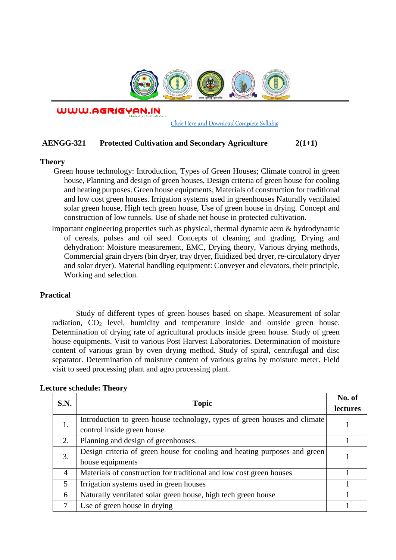

WWW.AGRIGYAN.IN

[Click Here and Download Complete Syllabus](http://agrigyan.in/)

# **AENGG-321 Protected Cultivation and Secondary Agriculture 2(1+1)**

#### **Theory**

 $\overline{a}$ 

- Green house technology: Introduction, Types of Green Houses; Climate control in green house, Planning and design of green houses, Design criteria of green house for cooling and heating purposes. Green house equipments, Materials of construction for traditional and low cost green houses. Irrigation systems used in greenhouses Naturally ventilated solar green house, High tech green house, Use of green house in drying. Concept and construction of low tunnels. Use of shade net house in protected cultivation.
- Important engineering properties such as physical, thermal dynamic aero & hydrodynamic of cereals, pulses and oil seed. Concepts of cleaning and grading. Drying and dehydration: Moisture measurement, EMC, Drying theory, Various drying methods, Commercial grain dryers (bin dryer, tray dryer, fluidized bed dryer, re-circulatory dryer and solar dryer). Material handling equipment: Conveyer and elevators, their principle, Working and selection.

### **Practical**

Study of different types of green houses based on shape. Measurement of solar radiation, CO<sub>2</sub> level, humidity and temperature inside and outside green house. Determination of drying rate of agricultural products inside green house. Study of green house equipments. Visit to various Post Harvest Laboratories. Determination of moisture content of various grain by oven drying method. Study of spiral, centrifugal and disc separator. Determination of moisture content of various grains by moisture meter. Field visit to seed processing plant and agro processing plant.

| <b>S.N.</b>    | <b>Topic</b>                                                                                             | No. of<br><b>lectures</b> |
|----------------|----------------------------------------------------------------------------------------------------------|---------------------------|
| 1.             | Introduction to green house technology, types of green houses and climate<br>control inside green house. |                           |
| 2.             | Planning and design of greenhouses.                                                                      |                           |
| 3.             | Design criteria of green house for cooling and heating purposes and green<br>house equipments            |                           |
| $\overline{4}$ | Materials of construction for traditional and low cost green houses                                      |                           |
| 5              | Irrigation systems used in green houses                                                                  |                           |
| 6              | Naturally ventilated solar green house, high tech green house                                            |                           |
| 7              | Use of green house in drying                                                                             |                           |

#### **Lecture schedule: Theory**